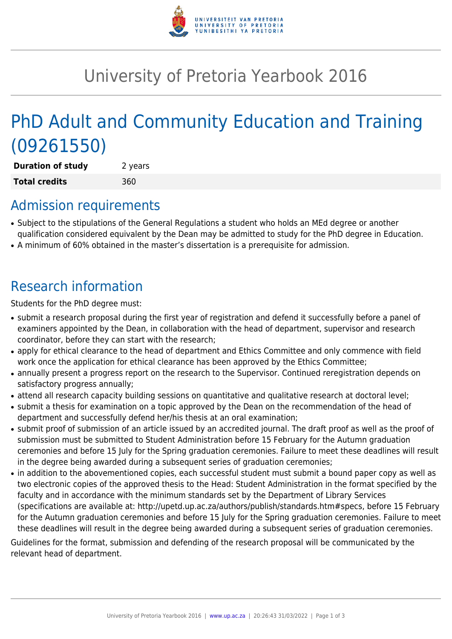

# University of Pretoria Yearbook 2016

# PhD Adult and Community Education and Training (09261550)

**Duration of study** 2 years **Total credits** 360

### Admission requirements

- Subject to the stipulations of the General Regulations a student who holds an MEd degree or another qualification considered equivalent by the Dean may be admitted to study for the PhD degree in Education.
- A minimum of 60% obtained in the master's dissertation is a prerequisite for admission.

## Research information

Students for the PhD degree must:

- submit a research proposal during the first year of registration and defend it successfully before a panel of examiners appointed by the Dean, in collaboration with the head of department, supervisor and research coordinator, before they can start with the research;
- apply for ethical clearance to the head of department and Ethics Committee and only commence with field work once the application for ethical clearance has been approved by the Ethics Committee;
- annually present a progress report on the research to the Supervisor. Continued reregistration depends on satisfactory progress annually;
- attend all research capacity building sessions on quantitative and qualitative research at doctoral level;
- submit a thesis for examination on a topic approved by the Dean on the recommendation of the head of department and successfully defend her/his thesis at an oral examination;
- submit proof of submission of an article issued by an accredited journal. The draft proof as well as the proof of submission must be submitted to Student Administration before 15 February for the Autumn graduation ceremonies and before 15 July for the Spring graduation ceremonies. Failure to meet these deadlines will result in the degree being awarded during a subsequent series of graduation ceremonies;
- in addition to the abovementioned copies, each successful student must submit a bound paper copy as well as two electronic copies of the approved thesis to the Head: Student Administration in the format specified by the faculty and in accordance with the minimum standards set by the Department of Library Services (specifications are available at: http://upetd.up.ac.za/authors/publish/standards.htm#specs, before 15 February for the Autumn graduation ceremonies and before 15 July for the Spring graduation ceremonies. Failure to meet these deadlines will result in the degree being awarded during a subsequent series of graduation ceremonies.

Guidelines for the format, submission and defending of the research proposal will be communicated by the relevant head of department.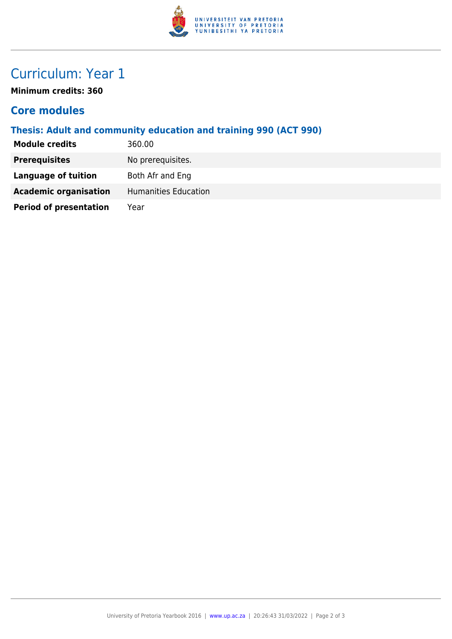

## Curriculum: Year 1

**Minimum credits: 360**

#### **Core modules**

#### **Thesis: Adult and community education and training 990 (ACT 990)**

| <b>Module credits</b>         | 360.00               |
|-------------------------------|----------------------|
| <b>Prerequisites</b>          | No prerequisites.    |
| <b>Language of tuition</b>    | Both Afr and Eng     |
| <b>Academic organisation</b>  | Humanities Education |
| <b>Period of presentation</b> | Year                 |